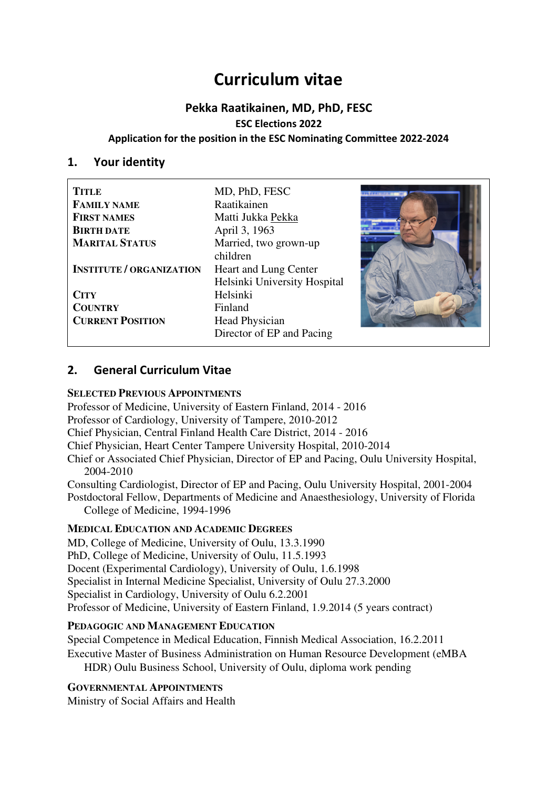# **Curriculum vitae**

## **Pekka Raatikainen, MD, PhD, FESC ESC Elections 2022 Application for the position in the ESC Nominating Committee 2022-2024**

#### **1. Your identity**

| <b>TITLE</b>                    | MD, PhD, FESC                |  |
|---------------------------------|------------------------------|--|
| <b>FAMILY NAME</b>              | Raatikainen                  |  |
| <b>FIRST NAMES</b>              | Matti Jukka Pekka            |  |
| <b>BIRTH DATE</b>               | April 3, 1963                |  |
| <b>MARITAL STATUS</b>           | Married, two grown-up        |  |
|                                 | children                     |  |
| <b>INSTITUTE / ORGANIZATION</b> | Heart and Lung Center        |  |
|                                 | Helsinki University Hospital |  |
| <b>CITY</b>                     | Helsinki                     |  |
| <b>COUNTRY</b>                  | Finland                      |  |
| <b>CURRENT POSITION</b>         | Head Physician               |  |
|                                 | Director of EP and Pacing    |  |

## **2. General Curriculum Vitae**

#### **SELECTED PREVIOUS APPOINTMENTS**

Professor of Medicine, University of Eastern Finland, 2014 - 2016

Professor of Cardiology, University of Tampere, 2010-2012

Chief Physician, Central Finland Health Care District, 2014 - 2016

Chief Physician, Heart Center Tampere University Hospital, 2010-2014

Chief or Associated Chief Physician, Director of EP and Pacing, Oulu University Hospital, 2004-2010

Consulting Cardiologist, Director of EP and Pacing, Oulu University Hospital, 2001-2004 Postdoctoral Fellow, Departments of Medicine and Anaesthesiology, University of Florida College of Medicine, 1994-1996

#### **MEDICAL EDUCATION AND ACADEMIC DEGREES**

MD, College of Medicine, University of Oulu, 13.3.1990 PhD, College of Medicine, University of Oulu, 11.5.1993 Docent (Experimental Cardiology), University of Oulu, 1.6.1998 Specialist in Internal Medicine Specialist, University of Oulu 27.3.2000 Specialist in Cardiology, University of Oulu 6.2.2001 Professor of Medicine, University of Eastern Finland, 1.9.2014 (5 years contract)

#### **PEDAGOGIC AND MANAGEMENT EDUCATION**

Special Competence in Medical Education, Finnish Medical Association, 16.2.2011 Executive Master of Business Administration on Human Resource Development (eMBA

HDR) Oulu Business School, University of Oulu, diploma work pending

#### **GOVERNMENTAL APPOINTMENTS**

Ministry of Social Affairs and Health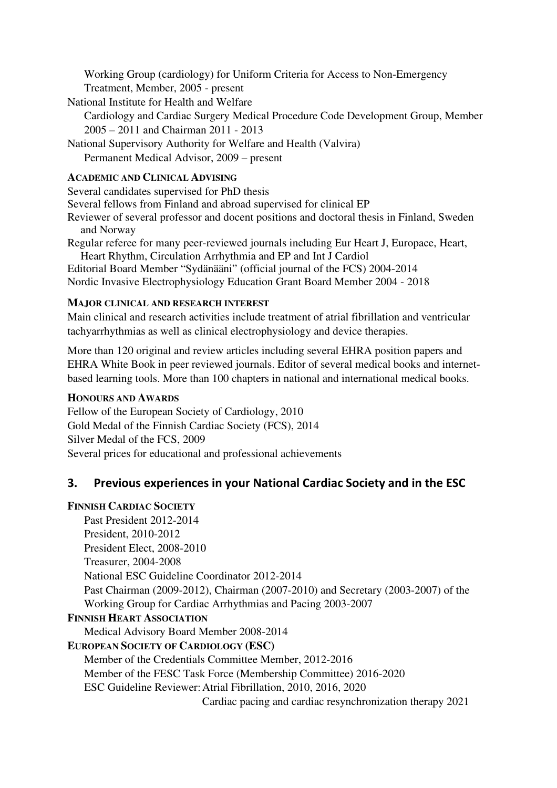Working Group (cardiology) for Uniform Criteria for Access to Non-Emergency Treatment, Member, 2005 - present

National Institute for Health and Welfare

Cardiology and Cardiac Surgery Medical Procedure Code Development Group, Member 2005 – 2011 and Chairman 2011 - 2013

National Supervisory Authority for Welfare and Health (Valvira) Permanent Medical Advisor, 2009 – present

#### **ACADEMIC AND CLINICAL ADVISING**

Several candidates supervised for PhD thesis

Several fellows from Finland and abroad supervised for clinical EP

Reviewer of several professor and docent positions and doctoral thesis in Finland, Sweden and Norway

Regular referee for many peer-reviewed journals including Eur Heart J, Europace, Heart, Heart Rhythm, Circulation Arrhythmia and EP and Int J Cardiol

Editorial Board Member "Sydänääni" (official journal of the FCS) 2004-2014 Nordic Invasive Electrophysiology Education Grant Board Member 2004 - 2018

#### **MAJOR CLINICAL AND RESEARCH INTEREST**

Main clinical and research activities include treatment of atrial fibrillation and ventricular tachyarrhythmias as well as clinical electrophysiology and device therapies.

More than 120 original and review articles including several EHRA position papers and EHRA White Book in peer reviewed journals. Editor of several medical books and internetbased learning tools. More than 100 chapters in national and international medical books.

#### **HONOURS AND AWARDS**

Fellow of the European Society of Cardiology, 2010 Gold Medal of the Finnish Cardiac Society (FCS), 2014 Silver Medal of the FCS, 2009 Several prices for educational and professional achievements

## **3. Previous experiences in your National Cardiac Society and in the ESC**

## **FINNISH CARDIAC SOCIETY**

Past President 2012-2014 President, 2010-2012 President Elect, 2008-2010 Treasurer, 2004-2008 National ESC Guideline Coordinator 2012-2014 Past Chairman (2009-2012), Chairman (2007-2010) and Secretary (2003-2007) of the Working Group for Cardiac Arrhythmias and Pacing 2003-2007 **FINNISH HEART ASSOCIATION** Medical Advisory Board Member 2008-2014 **EUROPEAN SOCIETY OF CARDIOLOGY (ESC)**  Member of the Credentials Committee Member, 2012-2016 Member of the FESC Task Force (Membership Committee) 2016-2020 ESC Guideline Reviewer: Atrial Fibrillation, 2010, 2016, 2020 Cardiac pacing and cardiac resynchronization therapy 2021